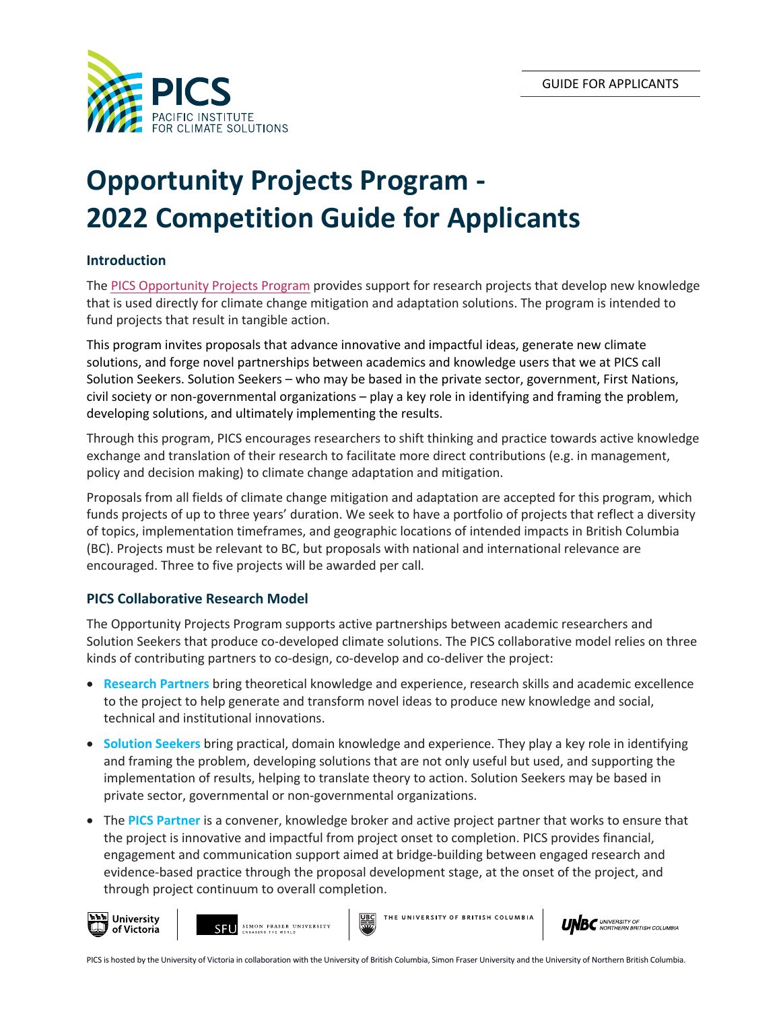

# **Opportunity Projects Program - 2022 Competition Guide for Applicants**

# **Introduction**

The PICS [Opportunity Projects](https://pics.uvic.ca/programs/opportunity-projects-program) Program provides support for research projects that develop new knowledge that is used directly for climate change mitigation and adaptation solutions. The program is intended to fund projects that result in tangible action.

This program invites proposals that advance innovative and impactful ideas, generate new climate solutions, and forge novel partnerships between academics and knowledge users that we at PICS call Solution Seekers. Solution Seekers – who may be based in the private sector, government, First Nations, civil society or non-governmental organizations – play a key role in identifying and framing the problem, developing solutions, and ultimately implementing the results.

Through this program, PICS encourages researchers to shift thinking and practice towards active knowledge exchange and translation of their research to facilitate more direct contributions (e.g. in management, policy and decision making) to climate change adaptation and mitigation.

Proposals from all fields of climate change mitigation and adaptation are accepted for this program, which funds projects of up to three years' duration. We seek to have a portfolio of projects that reflect a diversity of topics, implementation timeframes, and geographic locations of intended impacts in British Columbia (BC). Projects must be relevant to BC, but proposals with national and international relevance are encouraged. Three to five projects will be awarded per call.

# **PICS Collaborative Research Model**

The Opportunity Projects Program supports active partnerships between academic researchers and Solution Seekers that produce co-developed climate solutions. The PICS collaborative model relies on three kinds of contributing partners to co-design, co-develop and co-deliver the project:

- **Research Partners** bring theoretical knowledge and experience, research skills and academic excellence to the project to help generate and transform novel ideas to produce new knowledge and social, technical and institutional innovations.
- **Solution Seekers** bring practical, domain knowledge and experience. They play a key role in identifying and framing the problem, developing solutions that are not only useful but used, and supporting the implementation of results, helping to translate theory to action. Solution Seekers may be based in private sector, governmental or non-governmental organizations.
- The **PICS Partner** is a convener, knowledge broker and active project partner that works to ensure that the project is innovative and impactful from project onset to completion. PICS provides financial, engagement and communication support aimed at bridge-building between engaged research and evidence-based practice through the proposal development stage, at the onset of the project, and through project continuum to overall completion.





THE UNIVERSITY OF **BRITISH COLUMBIA** 

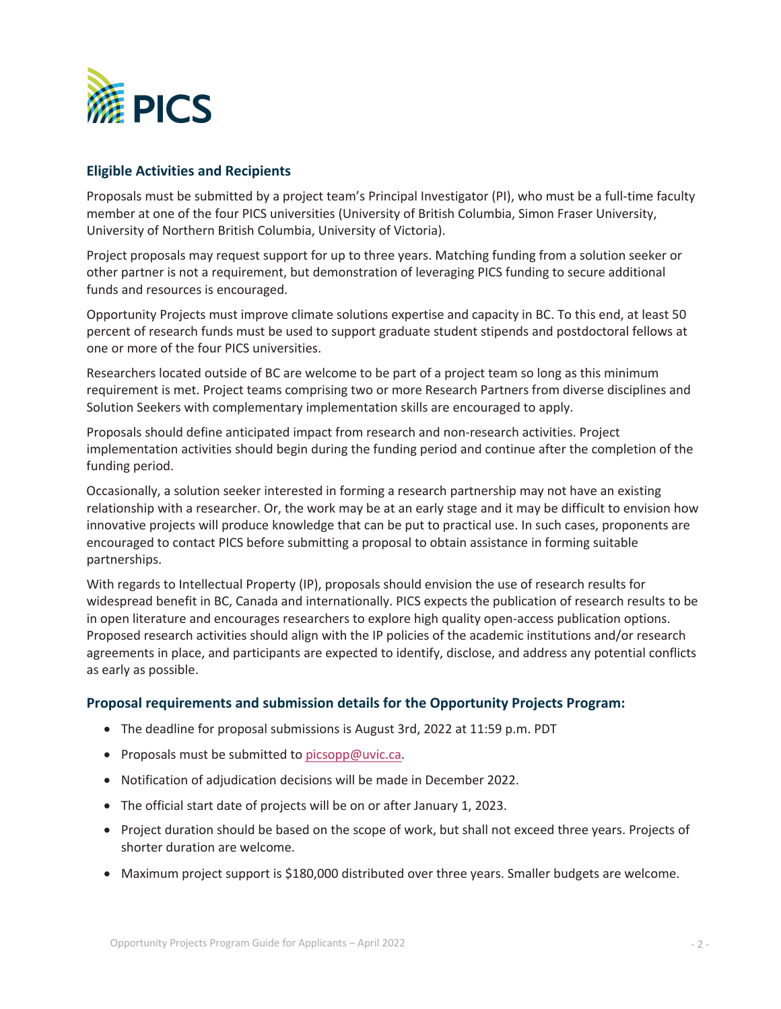

# **Eligible Activities and Recipients**

Proposals must be submitted by a project team's Principal Investigator (PI), who must be a full-time faculty member at one of the four PICS universities (University of British Columbia, Simon Fraser University, University of Northern British Columbia, University of Victoria).

Project proposals may request support for up to three years. Matching funding from a solution seeker or other partner is not a requirement, but demonstration of leveraging PICS funding to secure additional funds and resources is encouraged.

Opportunity Projects must improve climate solutions expertise and capacity in BC. To this end, at least 50 percent of research funds must be used to support graduate student stipends and postdoctoral fellows at one or more of the four PICS universities.

Researchers located outside of BC are welcome to be part of a project team so long as this minimum requirement is met. Project teams comprising two or more Research Partners from diverse disciplines and Solution Seekers with complementary implementation skills are encouraged to apply.

Proposals should define anticipated impact from research and non-research activities. Project implementation activities should begin during the funding period and continue after the completion of the funding period.

Occasionally, a solution seeker interested in forming a research partnership may not have an existing relationship with a researcher. Or, the work may be at an early stage and it may be difficult to envision how innovative projects will produce knowledge that can be put to practical use. In such cases, proponents are encouraged to contact PICS before submitting a proposal to obtain assistance in forming suitable partnerships.

With regards to Intellectual Property (IP), proposals should envision the use of research results for widespread benefit in BC, Canada and internationally. PICS expects the publication of research results to be in open literature and encourages researchers to explore high quality open-access publication options. Proposed research activities should align with the IP policies of the academic institutions and/or research agreements in place, and participants are expected to identify, disclose, and address any potential conflicts as early as possible.

### **Proposal requirements and submission details for the Opportunity Projects Program:**

- The deadline for proposal submissions is August 3rd, 2022 at 11:59 p.m. PDT
- Proposals must be submitted to [picsopp@uvic.ca.](mailto:picsopp@uvic.ca?subject=)
- Notification of adjudication decisions will be made in December 2022.
- The official start date of projects will be on or after January 1, 2023.
- Project duration should be based on the scope of work, but shall not exceed three years. Projects of shorter duration are welcome.
- Maximum project support is \$180,000 distributed over three years. Smaller budgets are welcome.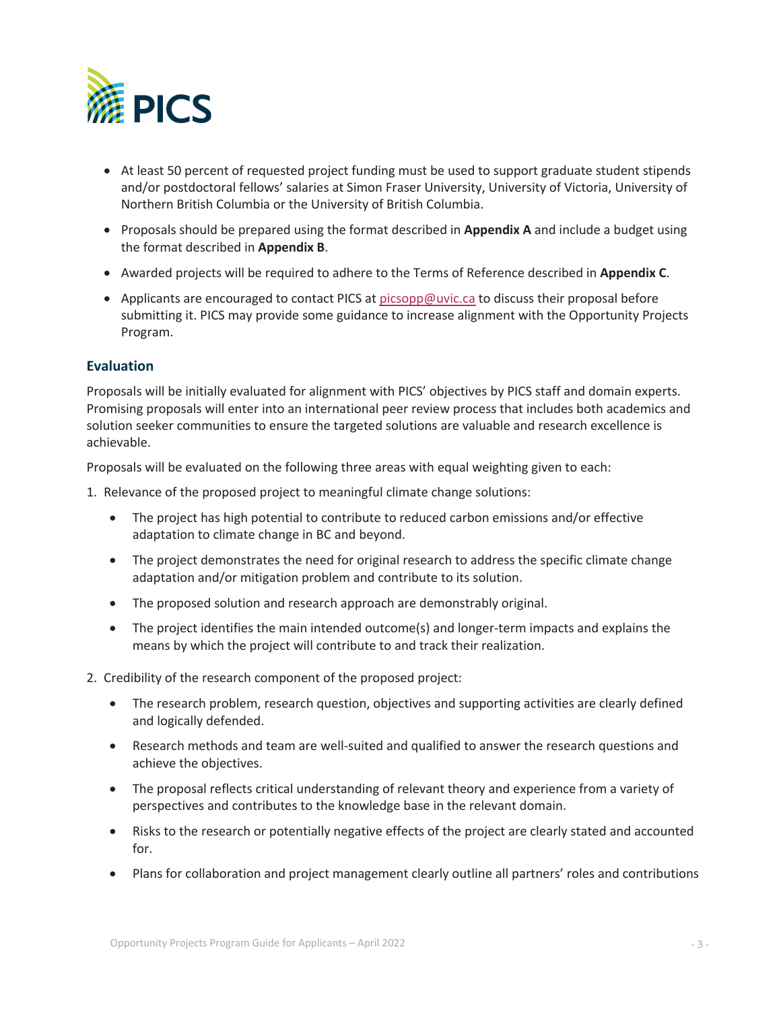

- At least 50 percent of requested project funding must be used to support graduate student stipends and/or postdoctoral fellows' salaries at Simon Fraser University, University of Victoria, University of Northern British Columbia or the University of British Columbia.
- Proposals should be prepared using the format described in **Appendix A** and include a budget using the format described in **Appendix B**.
- Awarded projects will be required to adhere to the Terms of Reference described in **Appendix C**.
- Applicants are encouraged to contact PICS at [picsopp@uvic.ca](mailto:picsopp@uvic.ca?subject=) to discuss their proposal before submitting it. PICS may provide some guidance to increase alignment with the Opportunity Projects Program.

### **Evaluation**

Proposals will be initially evaluated for alignment with PICS' objectives by PICS staff and domain experts. Promising proposals will enter into an international peer review process that includes both academics and solution seeker communities to ensure the targeted solutions are valuable and research excellence is achievable.

Proposals will be evaluated on the following three areas with equal weighting given to each:

- 1. Relevance of the proposed project to meaningful climate change solutions:
	- The project has high potential to contribute to reduced carbon emissions and/or effective adaptation to climate change in BC and beyond.
	- The project demonstrates the need for original research to address the specific climate change adaptation and/or mitigation problem and contribute to its solution.
	- The proposed solution and research approach are demonstrably original.
	- The project identifies the main intended outcome(s) and longer-term impacts and explains the means by which the project will contribute to and track their realization.
- 2. Credibility of the research component of the proposed project:
	- The research problem, research question, objectives and supporting activities are clearly defined and logically defended.
	- Research methods and team are well-suited and qualified to answer the research questions and achieve the objectives.
	- The proposal reflects critical understanding of relevant theory and experience from a variety of perspectives and contributes to the knowledge base in the relevant domain.
	- Risks to the research or potentially negative effects of the project are clearly stated and accounted for.
	- Plans for collaboration and project management clearly outline all partners' roles and contributions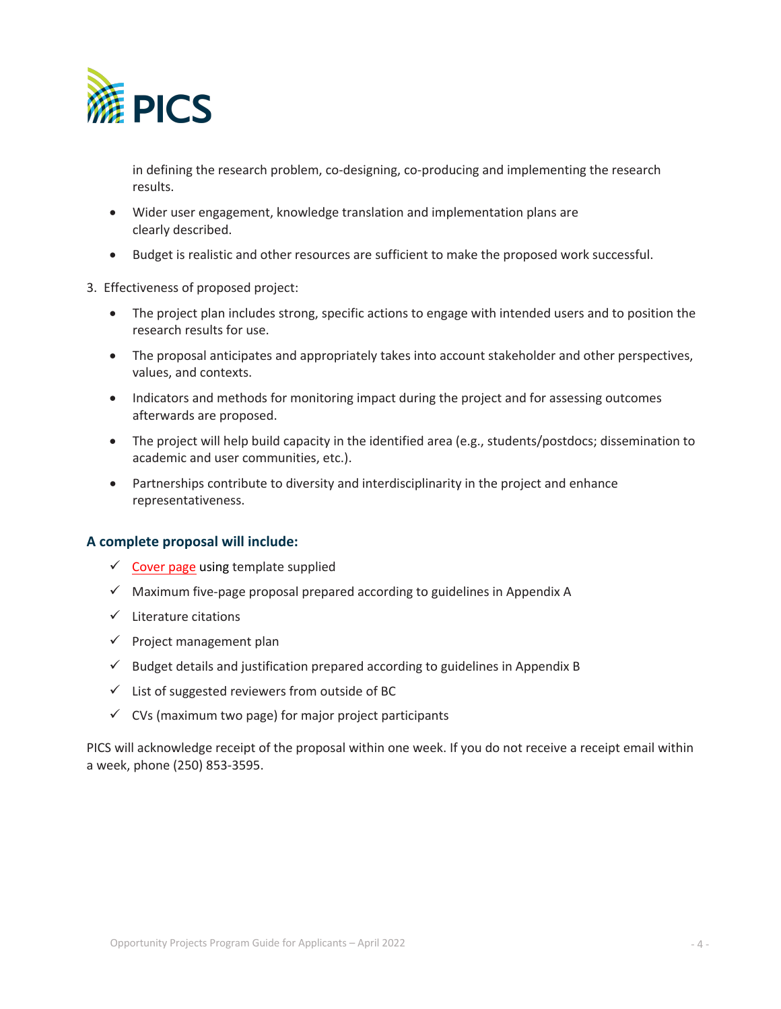

in defining the research problem, co-designing, co-producing and implementing the research results.

- Wider user engagement, knowledge translation and implementation plans are clearly described.
- Budget is realistic and other resources are sufficient to make the proposed work successful.
- 3. Effectiveness of proposed project:
	- The project plan includes strong, specific actions to engage with intended users and to position the research results for use.
	- The proposal anticipates and appropriately takes into account stakeholder and other perspectives, values, and contexts.
	- Indicators and methods for monitoring impact during the project and for assessing outcomes afterwards are proposed.
	- The project will help build capacity in the identified area (e.g., students/postdocs; dissemination to academic and user communities, etc.).
	- Partnerships contribute to diversity and interdisciplinarity in the project and enhance representativeness.

### **A complete proposal will include:**

- $\checkmark$  [Cover page](https://pics.uvic.ca/sites/default/files/PICS_OPPcoverpg_GEN2021.pdf) using template supplied
- $\checkmark$  Maximum five-page proposal prepared according to guidelines in Appendix A
- $\checkmark$  Literature citations
- $\checkmark$  Project management plan
- $\checkmark$  Budget details and justification prepared according to guidelines in Appendix B
- $\checkmark$  List of suggested reviewers from outside of BC
- $\checkmark$  CVs (maximum two page) for major project participants

PICS will acknowledge receipt of the proposal within one week. If you do not receive a receipt email within a week, phone (250) 853-3595.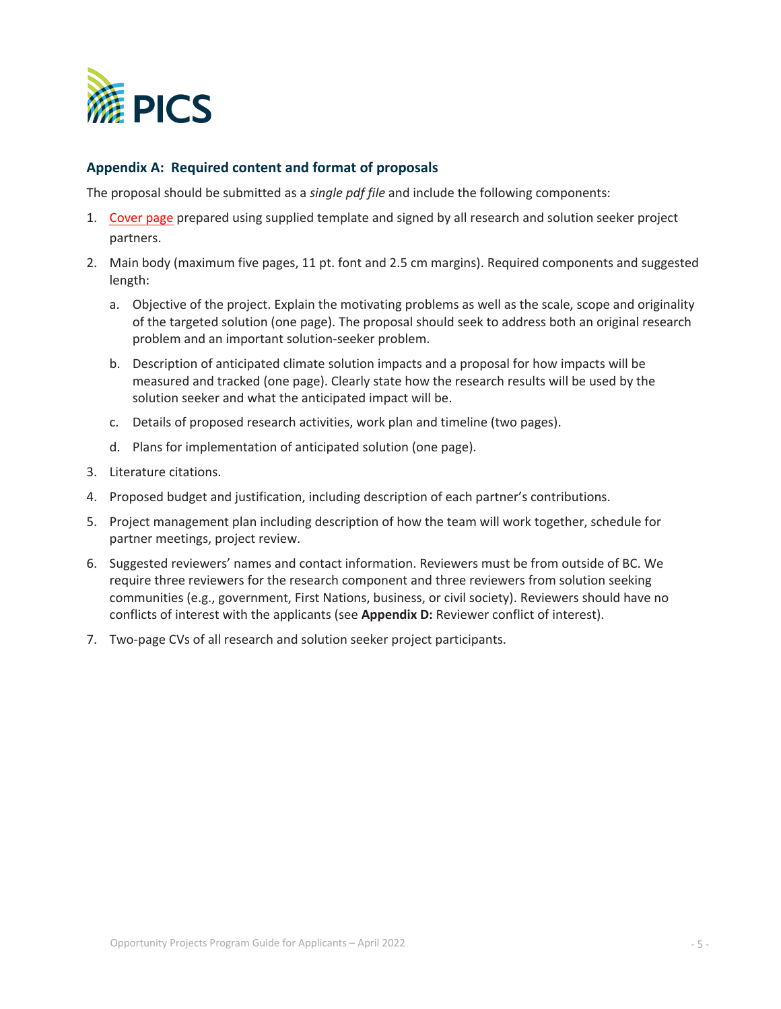

# **Appendix A: Required content and format of proposals**

The proposal should be submitted as a *single pdf file* and include the following components:

- 1. [Cover page](https://pics.uvic.ca/sites/default/files/PICS_OPPcoverpg_GEN2021.pdf) prepared using supplied template and signed by all research and solution seeker project partners.
- 2. Main body (maximum five pages, 11 pt. font and 2.5 cm margins). Required components and suggested length:
	- a. Objective of the project. Explain the motivating problems as well as the scale, scope and originality of the targeted solution (one page). The proposal should seek to address both an original research problem and an important solution-seeker problem.
	- b. Description of anticipated climate solution impacts and a proposal for how impacts will be measured and tracked (one page). Clearly state how the research results will be used by the solution seeker and what the anticipated impact will be.
	- c. Details of proposed research activities, work plan and timeline (two pages).
	- d. Plans for implementation of anticipated solution (one page).
- 3. Literature citations.
- 4. Proposed budget and justification, including description of each partner's contributions.
- 5. Project management plan including description of how the team will work together, schedule for partner meetings, project review.
- 6. Suggested reviewers' names and contact information. Reviewers must be from outside of BC. We require three reviewers for the research component and three reviewers from solution seeking communities (e.g., government, First Nations, business, or civil society). Reviewers should have no conflicts of interest with the applicants (see **Appendix D:** Reviewer conflict of interest).
- 7. Two-page CVs of all research and solution seeker project participants.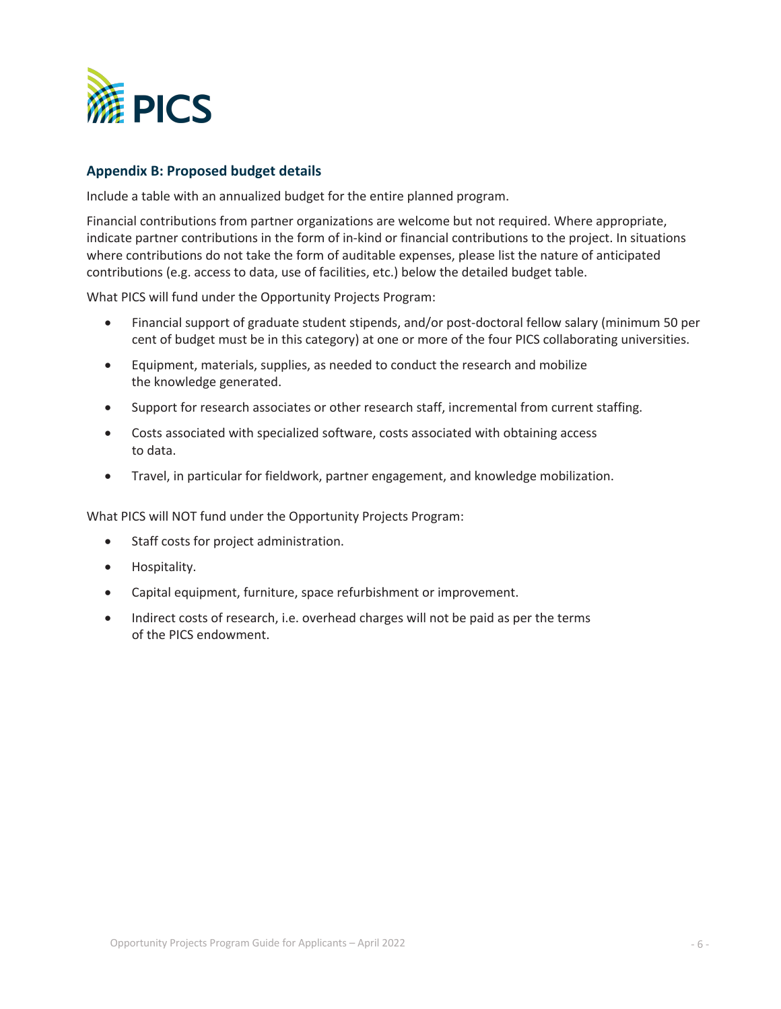

## **Appendix B: Proposed budget details**

Include a table with an annualized budget for the entire planned program.

Financial contributions from partner organizations are welcome but not required. Where appropriate, indicate partner contributions in the form of in-kind or financial contributions to the project. In situations where contributions do not take the form of auditable expenses, please list the nature of anticipated contributions (e.g. access to data, use of facilities, etc.) below the detailed budget table.

What PICS will fund under the Opportunity Projects Program:

- Financial support of graduate student stipends, and/or post-doctoral fellow salary (minimum 50 per cent of budget must be in this category) at one or more of the four PICS collaborating universities.
- Equipment, materials, supplies, as needed to conduct the research and mobilize the knowledge generated.
- Support for research associates or other research staff, incremental from current staffing.
- Costs associated with specialized software, costs associated with obtaining access to data.
- Travel, in particular for fieldwork, partner engagement, and knowledge mobilization.

What PICS will NOT fund under the Opportunity Projects Program:

- Staff costs for project administration.
- Hospitality.
- Capital equipment, furniture, space refurbishment or improvement.
- Indirect costs of research, i.e. overhead charges will not be paid as per the terms of the PICS endowment.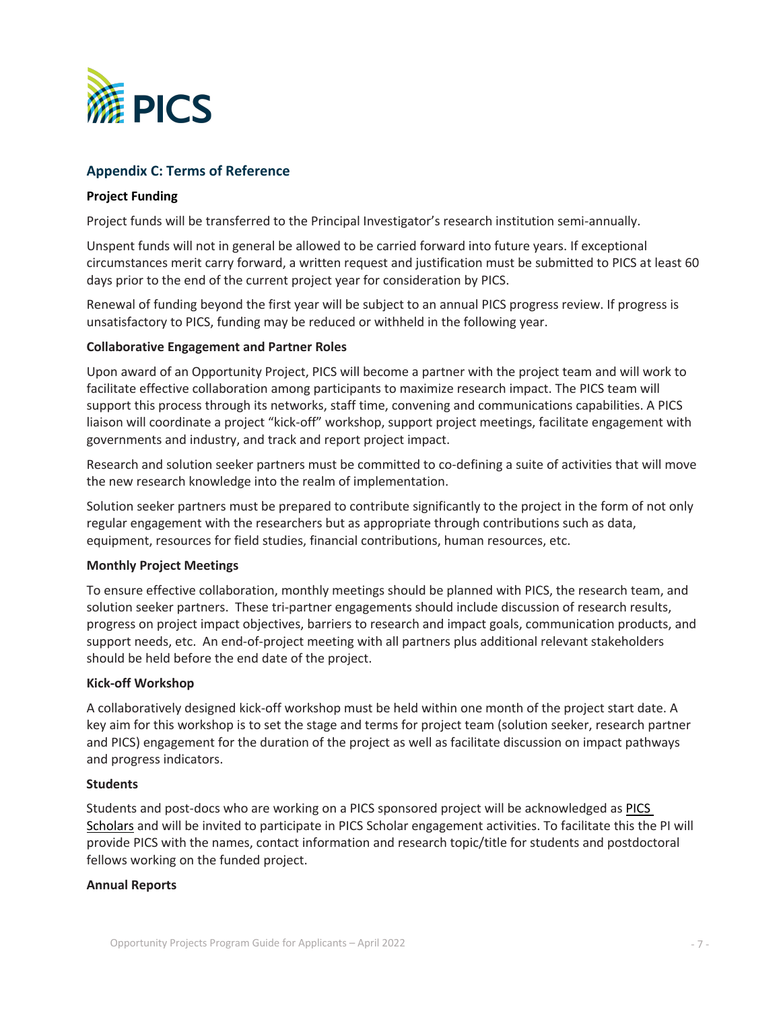

# **Appendix C: Terms of Reference**

#### **Project Funding**

Project funds will be transferred to the Principal Investigator's research institution semi-annually.

Unspent funds will not in general be allowed to be carried forward into future years. If exceptional circumstances merit carry forward, a written request and justification must be submitted to PICS at least 60 days prior to the end of the current project year for consideration by PICS.

Renewal of funding beyond the first year will be subject to an annual PICS progress review. If progress is unsatisfactory to PICS, funding may be reduced or withheld in the following year.

#### **Collaborative Engagement and Partner Roles**

Upon award of an Opportunity Project, PICS will become a partner with the project team and will work to facilitate effective collaboration among participants to maximize research impact. The PICS team will support this process through its networks, staff time, convening and communications capabilities. A PICS liaison will coordinate a project "kick-off" workshop, support project meetings, facilitate engagement with governments and industry, and track and report project impact.

Research and solution seeker partners must be committed to co-defining a suite of activities that will move the new research knowledge into the realm of implementation.

Solution seeker partners must be prepared to contribute significantly to the project in the form of not only regular engagement with the researchers but as appropriate through contributions such as data, equipment, resources for field studies, financial contributions, human resources, etc.

#### **Monthly Project Meetings**

To ensure effective collaboration, monthly meetings should be planned with PICS, the research team, and solution seeker partners. These tri-partner engagements should include discussion of research results, progress on project impact objectives, barriers to research and impact goals, communication products, and support needs, etc. An end-of-project meeting with all partners plus additional relevant stakeholders should be held before the end date of the project.

### **Kick-off Workshop**

A collaboratively designed kick-off workshop must be held within one month of the project start date. A key aim for this workshop is to set the stage and terms for project team (solution seeker, research partner and PICS) engagement for the duration of the project as well as facilitate discussion on impact pathways and progress indicators.

#### **Students**

Students and post-docs who are working on a PICS sponsored project will be acknowledged as PICS Scholars and will be invited to participate in PICS Scholar engagement activities. To facilitate this the PI will provide PICS with the names, contact information and research topic/title for students and postdoctoral fellows working on the funded project.

#### **Annual Reports**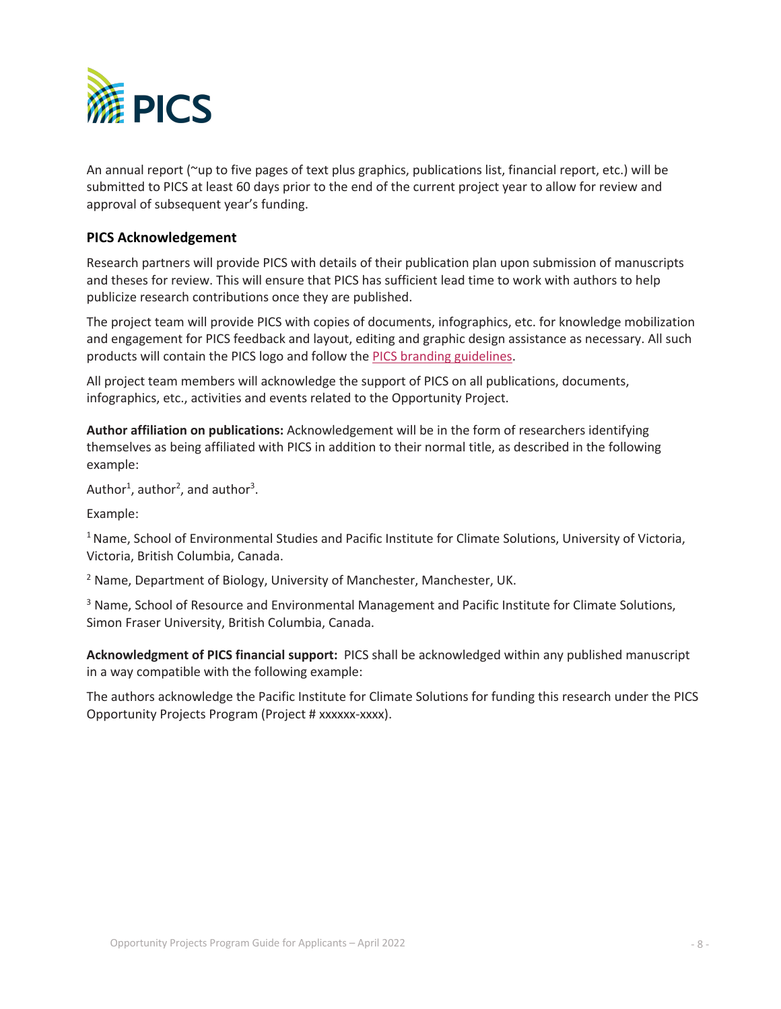

An annual report (~up to five pages of text plus graphics, publications list, financial report, etc.) will be submitted to PICS at least 60 days prior to the end of the current project year to allow for review and approval of subsequent year's funding.

## **PICS Acknowledgement**

Research partners will provide PICS with details of their publication plan upon submission of manuscripts and theses for review. This will ensure that PICS has sufficient lead time to work with authors to help publicize research contributions once they are published.

The project team will provide PICS with copies of documents, infographics, etc. for knowledge mobilization and engagement for PICS feedback and layout, editing and graphic design assistance as necessary. All such products will contain the PICS logo and follow the [PICS branding guidelines.](https://pics.uvic.ca/sites/default/files/PICS_Brand_Style_Guide_2020.pdf)

All project team members will acknowledge the support of PICS on all publications, documents, infographics, etc., activities and events related to the Opportunity Project.

**Author affiliation on publications:** Acknowledgement will be in the form of researchers identifying themselves as being affiliated with PICS in addition to their normal title, as described in the following example:

Author<sup>1</sup>, author<sup>2</sup>, and author<sup>3</sup>.

Example:

<sup>1</sup> Name, School of Environmental Studies and Pacific Institute for Climate Solutions, University of Victoria, Victoria, British Columbia, Canada.

 $2$  Name, Department of Biology, University of Manchester, Manchester, UK.

<sup>3</sup> Name, School of Resource and Environmental Management and Pacific Institute for Climate Solutions, Simon Fraser University, British Columbia, Canada.

**Acknowledgment of PICS financial support:** PICS shall be acknowledged within any published manuscript in a way compatible with the following example:

The authors acknowledge the Pacific Institute for Climate Solutions for funding this research under the PICS Opportunity Projects Program (Project # xxxxxx-xxxx).